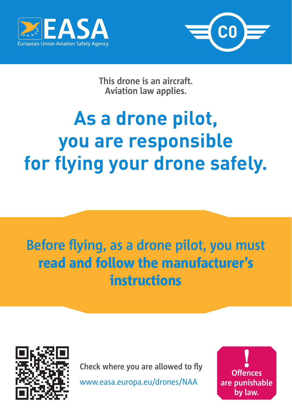



**This drone is an aircraft. Aviation law applies.**

# **As a drone pilot, you are responsible for flying your drone safely.**

## **Before flying, as a drone pilot, you must**  read and follow the manufacturer's instructions



**Check where you are allowed to fly**

www.easa.europa.eu/drones/NAA